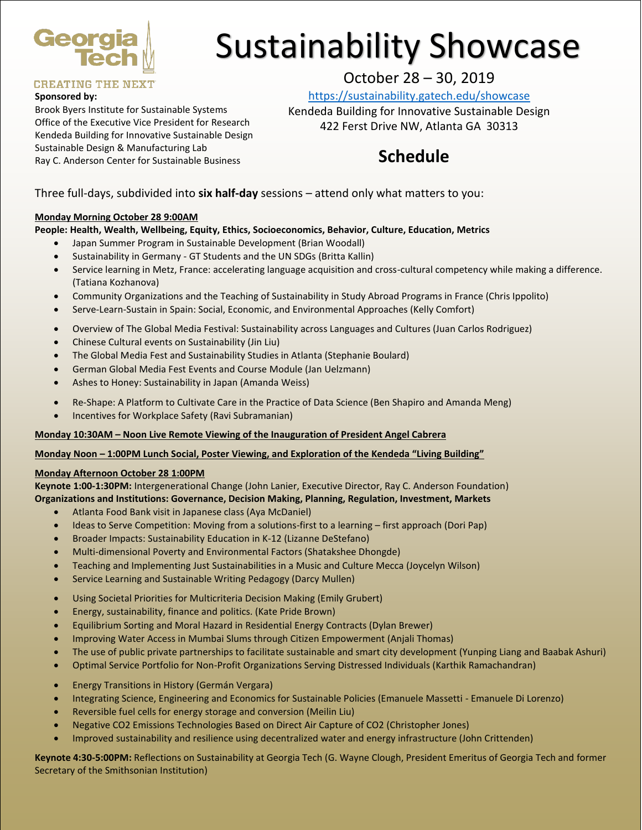

# Sustainability Showcase

### **CREATING THE NEXT**

#### **Sponsored by:**

Brook Byers Institute for Sustainable Systems Office of the Executive Vice President for Research Kendeda Building for Innovative Sustainable Design Sustainable Design & Manufacturing Lab Ray C. Anderson Center for Sustainable Business

## October 28 – 30, 2019

<https://sustainability.gatech.edu/showcase>

Kendeda Building for Innovative Sustainable Design 422 Ferst Drive NW, Atlanta GA 30313

# **Schedule**

Three full-days, subdivided into **six half-day** sessions – attend only what matters to you:

#### **Monday Morning October 28 9:00AM**

#### **People: Health, Wealth, Wellbeing, Equity, Ethics, Socioeconomics, Behavior, Culture, Education, Metrics**

- Japan Summer Program in Sustainable Development (Brian Woodall)
- Sustainability in Germany GT Students and the UN SDGs (Britta Kallin)
- Service learning in Metz, France: accelerating language acquisition and cross-cultural competency while making a difference. (Tatiana Kozhanova)
- Community Organizations and the Teaching of Sustainability in Study Abroad Programs in France (Chris Ippolito)
- Serve-Learn-Sustain in Spain: Social, Economic, and Environmental Approaches (Kelly Comfort)
- Overview of The Global Media Festival: Sustainability across Languages and Cultures (Juan Carlos Rodriguez)
- Chinese Cultural events on Sustainability (Jin Liu)
- The Global Media Fest and Sustainability Studies in Atlanta (Stephanie Boulard)
- German Global Media Fest Events and Course Module (Jan Uelzmann)
- Ashes to Honey: Sustainability in Japan (Amanda Weiss)
- Re-Shape: A Platform to Cultivate Care in the Practice of Data Science (Ben Shapiro and Amanda Meng)
- Incentives for Workplace Safety (Ravi Subramanian)

#### **Monday 10:30AM – Noon Live Remote Viewing of the Inauguration of President Angel Cabrera**

#### **Monday Noon – 1:00PM Lunch Social, Poster Viewing, and Exploration of the Kendeda "Living Building"**

#### **Monday Afternoon October 28 1:00PM**

**Keynote 1:00-1:30PM:** Intergenerational Change (John Lanier, Executive Director, Ray C. Anderson Foundation) **Organizations and Institutions: Governance, Decision Making, Planning, Regulation, Investment, Markets**

- Atlanta Food Bank visit in Japanese class (Aya McDaniel)
- Ideas to Serve Competition: Moving from a solutions-first to a learning first approach (Dori Pap)
- Broader Impacts: Sustainability Education in K-12 (Lizanne DeStefano)
- Multi-dimensional Poverty and Environmental Factors (Shatakshee Dhongde)
- Teaching and Implementing Just Sustainabilities in a Music and Culture Mecca (Joycelyn Wilson)
- Service Learning and Sustainable Writing Pedagogy (Darcy Mullen)
- Using Societal Priorities for Multicriteria Decision Making (Emily Grubert)
- Energy, sustainability, finance and politics. (Kate Pride Brown)
- Equilibrium Sorting and Moral Hazard in Residential Energy Contracts (Dylan Brewer)
- Improving Water Access in Mumbai Slums through Citizen Empowerment (Anjali Thomas)
- The use of public private partnerships to facilitate sustainable and smart city development (Yunping Liang and Baabak Ashuri)
- Optimal Service Portfolio for Non-Profit Organizations Serving Distressed Individuals (Karthik Ramachandran)
- Energy Transitions in History (Germán Vergara)
- Integrating Science, Engineering and Economics for Sustainable Policies (Emanuele Massetti Emanuele Di Lorenzo)
- Reversible fuel cells for energy storage and conversion (Meilin Liu)
- Negative CO2 Emissions Technologies Based on Direct Air Capture of CO2 (Christopher Jones)
- Improved sustainability and resilience using decentralized water and energy infrastructure (John Crittenden)

**Keynote 4:30-5:00PM:** Reflections on Sustainability at Georgia Tech (G. Wayne Clough, President Emeritus of Georgia Tech and former Secretary of the Smithsonian Institution)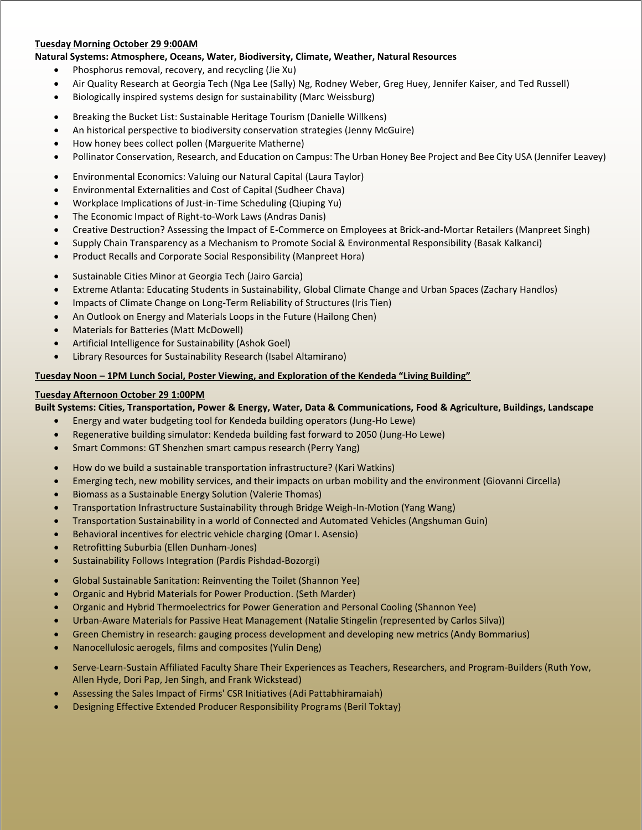#### **Tuesday Morning October 29 9:00AM**

#### **Natural Systems: Atmosphere, Oceans, Water, Biodiversity, Climate, Weather, Natural Resources**

- Phosphorus removal, recovery, and recycling (Jie Xu)
- Air Quality Research at Georgia Tech (Nga Lee (Sally) Ng, Rodney Weber, Greg Huey, Jennifer Kaiser, and Ted Russell)
- Biologically inspired systems design for sustainability (Marc Weissburg)
- Breaking the Bucket List: Sustainable Heritage Tourism (Danielle Willkens)
- An historical perspective to biodiversity conservation strategies (Jenny McGuire)
- How honey bees collect pollen (Marguerite Matherne)
- Pollinator Conservation, Research, and Education on Campus: The Urban Honey Bee Project and Bee City USA (Jennifer Leavey)
- Environmental Economics: Valuing our Natural Capital (Laura Taylor)
- Environmental Externalities and Cost of Capital (Sudheer Chava)
- Workplace Implications of Just-in-Time Scheduling (Qiuping Yu)
- The Economic Impact of Right-to-Work Laws (Andras Danis)
- Creative Destruction? Assessing the Impact of E-Commerce on Employees at Brick-and-Mortar Retailers (Manpreet Singh)
- Supply Chain Transparency as a Mechanism to Promote Social & Environmental Responsibility (Basak Kalkanci)
- Product Recalls and Corporate Social Responsibility (Manpreet Hora)
- Sustainable Cities Minor at Georgia Tech (Jairo Garcia)
- Extreme Atlanta: Educating Students in Sustainability, Global Climate Change and Urban Spaces (Zachary Handlos)
- Impacts of Climate Change on Long-Term Reliability of Structures (Iris Tien)
- An Outlook on Energy and Materials Loops in the Future (Hailong Chen)
- Materials for Batteries (Matt McDowell)
- Artificial Intelligence for Sustainability (Ashok Goel)
- Library Resources for Sustainability Research (Isabel Altamirano)

#### **Tuesday Noon – 1PM Lunch Social, Poster Viewing, and Exploration of the Kendeda "Living Building"**

#### **Tuesday Afternoon October 29 1:00PM**

**Built Systems: Cities, Transportation, Power & Energy, Water, Data & Communications, Food & Agriculture, Buildings, Landscape**

- Energy and water budgeting tool for Kendeda building operators (Jung-Ho Lewe)
- Regenerative building simulator: Kendeda building fast forward to 2050 (Jung-Ho Lewe)
- Smart Commons: GT Shenzhen smart campus research (Perry Yang)
- How do we build a sustainable transportation infrastructure? (Kari Watkins)
- Emerging tech, new mobility services, and their impacts on urban mobility and the environment (Giovanni Circella)
- Biomass as a Sustainable Energy Solution (Valerie Thomas)
- Transportation Infrastructure Sustainability through Bridge Weigh-In-Motion (Yang Wang)
- Transportation Sustainability in a world of Connected and Automated Vehicles (Angshuman Guin)
- Behavioral incentives for electric vehicle charging (Omar I. Asensio)
- Retrofitting Suburbia (Ellen Dunham-Jones)
- Sustainability Follows Integration (Pardis Pishdad-Bozorgi)
- Global Sustainable Sanitation: Reinventing the Toilet (Shannon Yee)
- Organic and Hybrid Materials for Power Production. (Seth Marder)
- Organic and Hybrid Thermoelectrics for Power Generation and Personal Cooling (Shannon Yee)
- Urban-Aware Materials for Passive Heat Management (Natalie Stingelin (represented by Carlos Silva))
- Green Chemistry in research: gauging process development and developing new metrics (Andy Bommarius)
- Nanocellulosic aerogels, films and composites (Yulin Deng)
- Serve-Learn-Sustain Affiliated Faculty Share Their Experiences as Teachers, Researchers, and Program-Builders (Ruth Yow, Allen Hyde, Dori Pap, Jen Singh, and Frank Wickstead)
- Assessing the Sales Impact of Firms' CSR Initiatives (Adi Pattabhiramaiah)
- Designing Effective Extended Producer Responsibility Programs (Beril Toktay)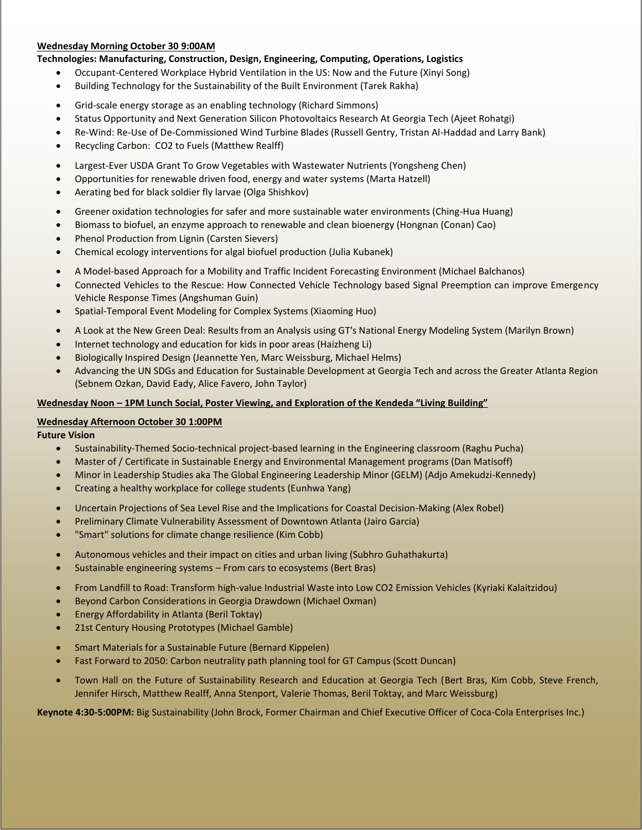#### **Wednesday Morning October 30 9:00AM**

#### **Technologies: Manufacturing, Construction, Design, Engineering, Computing, Operations, Logistics**

- Occupant-Centered Workplace Hybrid Ventilation in the US: Now and the Future (Xinyi Song)
- Building Technology for the Sustainability of the Built Environment (Tarek Rakha)
- Grid-scale energy storage as an enabling technology (Richard Simmons)
- Status Opportunity and Next Generation Silicon Photovoltaics Research At Georgia Tech (Ajeet Rohatgi)
- Re-Wind: Re-Use of De-Commissioned Wind Turbine Blades (Russell Gentry, Tristan Al-Haddad and Larry Bank)
- Recycling Carbon: CO2 to Fuels (Matthew Realff)
- Largest-Ever USDA Grant To Grow Vegetables with Wastewater Nutrients (Yongsheng Chen)
- Opportunities for renewable driven food, energy and water systems (Marta Hatzell)
- Aerating bed for black soldier fly larvae (Olga Shishkov)
- Greener oxidation technologies for safer and more sustainable water environments (Ching-Hua Huang)
- Biomass to biofuel, an enzyme approach to renewable and clean bioenergy (Hongnan (Conan) Cao)
- Phenol Production from Lignin (Carsten Sievers)
- Chemical ecology interventions for algal biofuel production (Julia Kubanek)
- A Model-based Approach for a Mobility and Traffic Incident Forecasting Environment (Michael Balchanos)
- Connected Vehicles to the Rescue: How Connected Vehicle Technology based Signal Preemption can improve Emergency Vehicle Response Times (Angshuman Guin)
- Spatial-Temporal Event Modeling for Complex Systems (Xiaoming Huo)
- A Look at the New Green Deal: Results from an Analysis using GT's National Energy Modeling System (Marilyn Brown)
- Internet technology and education for kids in poor areas (Haizheng Li)
- Biologically Inspired Design (Jeannette Yen, Marc Weissburg, Michael Helms)
- Advancing the UN SDGs and Education for Sustainable Development at Georgia Tech and across the Greater Atlanta Region (Sebnem Ozkan, David Eady, Alice Favero, John Taylor)

#### **Wednesday Noon – 1PM Lunch Social, Poster Viewing, and Exploration of the Kendeda "Living Building"**

#### **Wednesday Afternoon October 30 1:00PM**

**Future Vision**

- Sustainability-Themed Socio-technical project-based learning in the Engineering classroom (Raghu Pucha)
- Master of / Certificate in Sustainable Energy and Environmental Management programs (Dan Matisoff)
- Minor in Leadership Studies aka The Global Engineering Leadership Minor (GELM) (Adjo Amekudzi-Kennedy)
- Creating a healthy workplace for college students (Eunhwa Yang)
- Uncertain Projections of Sea Level Rise and the Implications for Coastal Decision-Making (Alex Robel)
- Preliminary Climate Vulnerability Assessment of Downtown Atlanta (Jairo Garcia)
- "Smart" solutions for climate change resilience (Kim Cobb)
- Autonomous vehicles and their impact on cities and urban living (Subhro Guhathakurta)
- Sustainable engineering systems From cars to ecosystems (Bert Bras)
- From Landfill to Road: Transform high-value Industrial Waste into Low CO2 Emission Vehicles (Kyriaki Kalaitzidou)
- Beyond Carbon Considerations in Georgia Drawdown (Michael Oxman)
- Energy Affordability in Atlanta (Beril Toktay)
- 21st Century Housing Prototypes (Michael Gamble)
- Smart Materials for a Sustainable Future (Bernard Kippelen)
- Fast Forward to 2050: Carbon neutrality path planning tool for GT Campus (Scott Duncan)
- Town Hall on the Future of Sustainability Research and Education at Georgia Tech (Bert Bras, Kim Cobb, Steve French, Jennifer Hirsch, Matthew Realff, Anna Stenport, Valerie Thomas, Beril Toktay, and Marc Weissburg)

**Keynote 4:30-5:00PM:** Big Sustainability (John Brock, Former Chairman and Chief Executive Officer of Coca-Cola Enterprises Inc.)